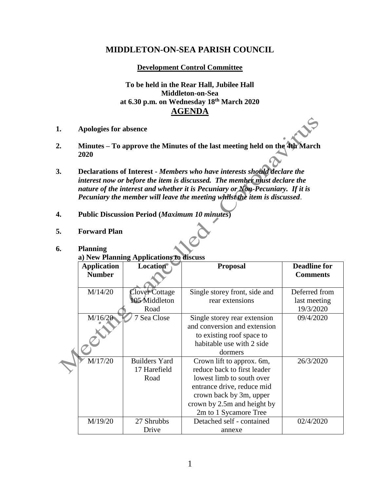## **MIDDLETON-ON-SEA PARISH COUNCIL**

**Development Control Committee**

**To be held in the Rear Hall, Jubilee Hall Middleton-on-Sea at 6.30 p.m. on Wednesday 18th March 2020 AGENDA**

- **1. Apologies for absence**
- **2. Minutes – To approve the Minutes of the last meeting held on the 4th March 2020**
- **3. Declarations of Interest -** *Members who have interests should declare the interest now or before the item is discussed. The member must declare the nature of the interest and whether it is Pecuniary or Non-Pecuniary. If it is Pecuniary the member will leave the meeting whilst the item is discussed*.
- **4. Public Discussion Period (***Maximum 10 minutes***)**
- **5. Forward Plan**

## **6. Planning**

**a) New Planning Applications to discuss**

|  | <b>Application</b> | <b>Location</b>      | <b>Proposal</b>               | <b>Deadline for</b> |
|--|--------------------|----------------------|-------------------------------|---------------------|
|  | <b>Number</b>      |                      |                               | <b>Comments</b>     |
|  |                    |                      |                               |                     |
|  | M/14/20            | Clover Cottage       | Single storey front, side and | Deferred from       |
|  |                    | 105 Middleton        | rear extensions               | last meeting        |
|  |                    | Road                 |                               | 19/3/2020           |
|  | M/16/20            | Sea Close            | Single storey rear extension  | 09/4/2020           |
|  |                    |                      | and conversion and extension  |                     |
|  |                    |                      | to existing roof space to     |                     |
|  |                    |                      | habitable use with 2 side     |                     |
|  |                    |                      | dormers                       |                     |
|  | M/17/20            | <b>Builders Yard</b> | Crown lift to approx. 6m,     | 26/3/2020           |
|  |                    | 17 Harefield         | reduce back to first leader   |                     |
|  |                    | Road                 | lowest limb to south over     |                     |
|  |                    |                      | entrance drive, reduce mid    |                     |
|  |                    |                      | crown back by 3m, upper       |                     |
|  |                    |                      | crown by 2.5m and height by   |                     |
|  |                    |                      | 2m to 1 Sycamore Tree         |                     |
|  | M/19/20            | 27 Shrubbs           | Detached self - contained     | 02/4/2020           |
|  |                    | Drive                | annexe                        |                     |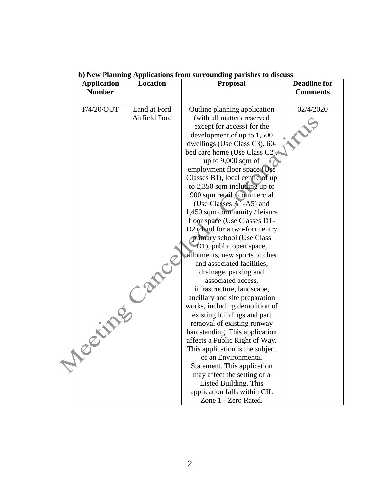| <b>Application</b> | Location      | $\sigma$ ) is a familing trip interferom to the surrounding parts its to this case<br><b>Proposal</b> | <b>Deadline for</b> |
|--------------------|---------------|-------------------------------------------------------------------------------------------------------|---------------------|
| <b>Number</b>      |               |                                                                                                       | <b>Comments</b>     |
| F/4/20/OUT         | Land at Ford  | Outline planning application                                                                          | 02/4/2020           |
|                    | Airfield Ford | (with all matters reserved                                                                            |                     |
|                    |               | except for access) for the                                                                            |                     |
|                    |               | development of up to 1,500                                                                            |                     |
|                    |               | dwellings (Use Class C3), 60-                                                                         |                     |
|                    |               | bed care home (Use Class C2),                                                                         |                     |
|                    |               | up to $9,000$ sqm of                                                                                  |                     |
|                    |               | employment floor space (Use                                                                           |                     |
|                    |               | Classes B1), local centre of up                                                                       |                     |
|                    |               | to 2,350 sqm including up to                                                                          |                     |
|                    |               | 900 sqm retail <i>(commercial</i>                                                                     |                     |
|                    |               | (Use Classes A1-A5) and                                                                               |                     |
|                    |               | 1,450 sqm community / leisure                                                                         |                     |
|                    |               | floor space (Use Classes D1-                                                                          |                     |
|                    |               | D2), land for a two-form entry                                                                        |                     |
|                    |               | primary school (Use Class                                                                             |                     |
|                    |               | D1), public open space,                                                                               |                     |
|                    |               | allotments, new sports pitches                                                                        |                     |
|                    |               | and associated facilities,                                                                            |                     |
|                    |               | drainage, parking and                                                                                 |                     |
|                    |               | associated access,                                                                                    |                     |
|                    |               | infrastructure, landscape,                                                                            |                     |
|                    |               | ancillary and site preparation                                                                        |                     |
|                    |               | works, including demolition of                                                                        |                     |
|                    |               | existing buildings and part                                                                           |                     |
|                    |               | removal of existing runway                                                                            |                     |
|                    |               | hardstanding. This application                                                                        |                     |
| Centre             |               | affects a Public Right of Way.                                                                        |                     |
|                    |               | This application is the subject                                                                       |                     |
|                    |               | of an Environmental                                                                                   |                     |
|                    |               | Statement. This application                                                                           |                     |
|                    |               | may affect the setting of a                                                                           |                     |
|                    |               | Listed Building. This                                                                                 |                     |
|                    |               | application falls within CIL                                                                          |                     |
|                    |               | Zone 1 - Zero Rated.                                                                                  |                     |

**b) New Planning Applications from surrounding parishes to discuss**